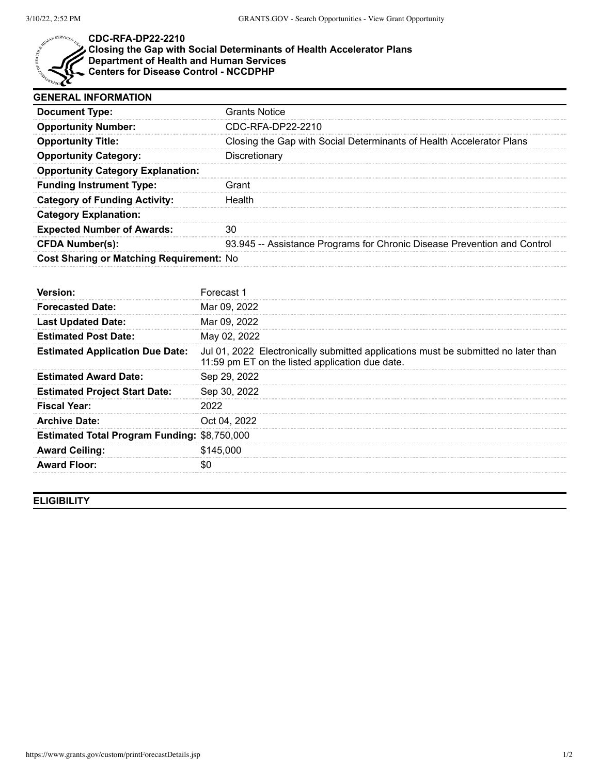

## **CDC-RFA-DP22-2210**

## **Closing the Gap with Social Determinants of Health Accelerator Plans Department of Health and Human Services**

**Centers for Disease Control - NCCDPHP**

| <b>GENERAL INFORMATION</b>               |                                                                          |  |
|------------------------------------------|--------------------------------------------------------------------------|--|
| <b>Document Type:</b>                    | <b>Grants Notice</b>                                                     |  |
| <b>Opportunity Number:</b>               | CDC-RFA-DP22-2210                                                        |  |
| <b>Opportunity Title:</b>                | Closing the Gap with Social Determinants of Health Accelerator Plans     |  |
| <b>Opportunity Category:</b>             | Discretionary                                                            |  |
| <b>Opportunity Category Explanation:</b> |                                                                          |  |
| <b>Funding Instrument Type:</b>          | Grant                                                                    |  |
| <b>Category of Funding Activity:</b>     | Health                                                                   |  |
| <b>Category Explanation:</b>             |                                                                          |  |
| <b>Expected Number of Awards:</b>        |                                                                          |  |
| <b>CFDA Number(s):</b>                   | 93.945 -- Assistance Programs for Chronic Disease Prevention and Control |  |
| Cost Sharing or Matching Requirement: No |                                                                          |  |

| Version:                                            | Forecast 1                                                                                                                            |
|-----------------------------------------------------|---------------------------------------------------------------------------------------------------------------------------------------|
| <b>Forecasted Date:</b>                             | Mar 09, 2022                                                                                                                          |
| <b>Last Updated Date:</b>                           | Mar 09, 2022                                                                                                                          |
| <b>Estimated Post Date:</b>                         | May 02, 2022                                                                                                                          |
| <b>Estimated Application Due Date:</b>              | Jul 01, 2022 Electronically submitted applications must be submitted no later than<br>11:59 pm ET on the listed application due date. |
| <b>Estimated Award Date:</b>                        | Sep 29, 2022                                                                                                                          |
| <b>Estimated Project Start Date:</b>                | Sep 30, 2022                                                                                                                          |
| Fiscal Year:                                        |                                                                                                                                       |
| <b>Archive Date:</b>                                | Oct 04, 2022                                                                                                                          |
| <b>Estimated Total Program Funding: \$8,750,000</b> |                                                                                                                                       |
| <b>Award Ceiling:</b>                               | \$145,000                                                                                                                             |
| <b>Award Floor:</b>                                 |                                                                                                                                       |

**ELIGIBILITY**